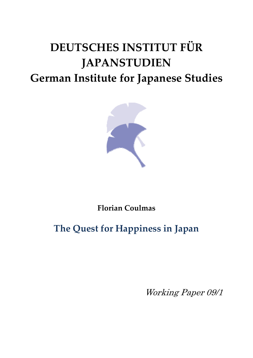# **DEUTSCHES INSTITUT FÜR JAPANSTUDIEN German Institute for Japanese Studies**



**Florian Coulmas**

# **The Quest for Happiness in Japan**

Working Paper 09/1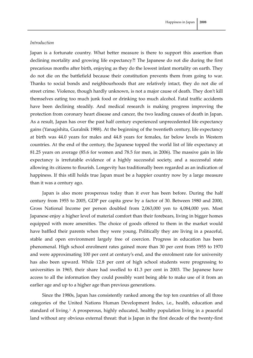#### *Introduction*

Japan is a fortunate country. What better measure is there to support this assertion than declining mortality and growing life expectancy?! The Japanese do not die during the first precarious months after birth, enjoying as they do the lowest infant mortality on earth. They do not die on the battlefield because their constitution prevents them from going to war. Thanks to social bonds and neighbourhoods that are relatively intact, they do not die of street crime. Violence, though hardly unknown, is not a major cause of death. They don't kill themselves eating too much junk food or drinking too much alcohol. Fatal traffic accidents have been declining steadily. And medical research is making progress improving the protection from coronary heart disease and cancer, the two leading causes of death in Japan. As a result, Japan has over the past half century experienced unprecedented life expectancy gains (Yanagishita, Guralnik 1988). At the beginning of the twentieth century, life expectancy at birth was 44.0 years for males and 44.8 years for females, far below levels in Western countries. At the end of the century, the Japanese topped the world list of life expectancy at 81.25 years on average (85.6 for women and 78.5 for men, in 2006). The massive gain in life expectancy is irrefutable evidence of a highly successful society, and a successful state allowing its citizens to flourish. Longevity has traditionally been regarded as an indication of happiness. If this still holds true Japan must be a happier country now by a large measure than it was a century ago.

Japan is also more prosperous today than it ever has been before. During the half century from 1955 to 2005, GDP per capita grew by a factor of 30. Between 1980 and 2000, Gross National Income per person doubled from 2,063,000 yen to 4,084,000 yen. Most Japanese enjoy a higher level of material comfort than their forebears, living in bigger homes equipped with more amenities. The choice of goods offered to them in the market would have baffled their parents when they were young. Politically they are living in a peaceful, stable and open environment largely free of coercion. Progress in education has been phenomenal. High school enrolment rates gained more than 30 per cent from 1955 to 1970 and were approximating 100 per cent at century's end, and the enrolment rate for university has also been upward. While 12.8 per cent of high school students were progressing to universities in 1965, their share had swelled to 41.3 per cent in 2003. The Japanese have access to all the information they could possibly want being able to make use of it from an earlier age and up to a higher age than previous generations.

Since the 1980s, Japan has consistently ranked among the top ten countries of all three categories of the United Nations Human Development Index, i.e., health, education and standard of living.[1](#page-29-0) A prosperous, highly educated, healthy population living in a peaceful land without any obvious external threat: that is Japan in the first decade of the twenty‐first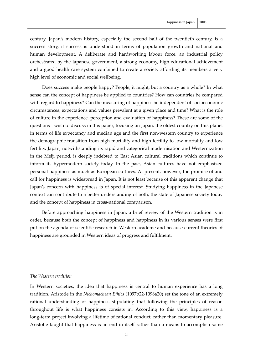century. Japan's modern history, especially the second half of the twentieth century, is a success story, if success is understood in terms of population growth and national and human development. A deliberate and hardworking labour force, an industrial policy orchestrated by the Japanese government, a strong economy, high educational achievement and a good health care system combined to create a society affording its members a very high level of economic and social wellbeing.

Does success make people happy? People, it might, but a country as a whole? In what sense can the concept of happiness be applied to countries? How can countries be compared with regard to happiness? Can the measuring of happiness be independent of socioeconomic circumstances, expectations and values prevalent at a given place and time? What is the role of culture in the experience, perception and evaluation of happiness? These are some of the questions I wish to discuss in this paper, focusing on Japan, the oldest country on this planet in terms of life expectancy and median age and the first non-western country to experience the demographic transition from high mortality and high fertility to low mortality and low fertility. Japan, notwithstanding its rapid and categorical modernisation and Westernization in the Meiji period, is deeply indebted to East Asian cultural traditions which continue to inform its hypermodern society today. In the past, Asian cultures have not emphasized personal happiness as much as European cultures. At present, however, the promise of and call for happiness is widespread in Japan. It is not least because of this apparent change that Japan's concern with happiness is of special interest. Studying happiness in the Japanese context can contribute to a better understanding of both, the state of Japanese society today and the concept of happiness in cross‐national comparison.

Before approaching happiness in Japan, a brief review of the Western tradition is in order, because both the concept of happiness and happiness in its various senses were first put on the agenda of scientific research in Western academe and because current theories of happiness are grounded in Western ideas of progress and fulfilment.

#### *The Western tradition*

In Western societies, the idea that happiness is central to human experience has a long tradition. Aristotle in the *Nichomachean Ethics* (1097b22‐1098a20) set the tone of an extremely rational understanding of happiness stipulating that following the principles of reason throughout life is what happiness consists in. According to this view, happiness is a long-term project involving a lifetime of rational conduct, rather than momentary pleasure. Aristotle taught that happiness is an end in itself rather than a means to accomplish some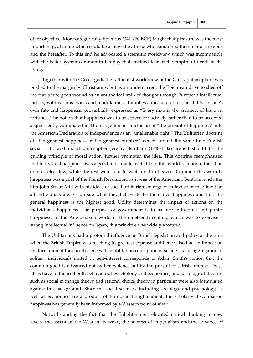other objective. More categorically Epicurus (341‐270 BCE) taught that pleasure was the most important goal in life which could be achieved by those who conquered their fear of the gods and the hereafter. To this end he advocated a scientific worldview which was incompatible with the belief system common in his day that instilled fear of the empire of death in the living.

Together with the Greek gods the rationalist worldview of the Greek philosophers was pushed to the margin by Christianity, but as an undercurrent the Epicurean drive to shed off the fear of the gods wound as an antithetical train of thought through European intellectual history, with various twists and modulations. It implies a measure of responsibility for one's own fate and happiness, proverbially expressed as "Every man is the architect of his own fortune." The notion that happiness was to be striven for actively rather than to be accepted acquiescently culminated in Thomas Jefferson's inclusion of "the pursuit of happiness" into the American Declaration of Independence as an "unalienable right." The Utilitarian doctrine of "the greatest happiness of the greatest number" which around the same time English social critic and moral philosopher Jeremy Bentham (1748‐1832) argued should be the guiding principle of moral action, further promoted the idea. This doctrine reemphasised that individual happiness was a good to be made available in this world to many rather than only a select few, while the rest were told to wait for it in heaven. Common this‐worldly happiness was a goal of the French Revolution, as it was of the American. Bentham and after him John Stuart Mill with his ideas of social utilitarianism argued in favour of the view that all individuals always pursue what they believe to be their own happiness and that the general happiness is the highest good. Utility determines the impact of actions on the individual's happiness. The purpose of government is to balance individual and public happiness. In the Anglo-Saxon world of the nineteenth century, which was to exercise a strong intellectual influence on Japan, this principle was widely accepted.

The Utilitarians had a profound influence on British legislation and policy at the time when the British Empire was reaching its greatest expanse and hence also had an impact on the formation of the social sciences. The utilitarian conception of society as the aggregation of solitary individuals united by self-interest corresponds to Adam Smith's notion that the common good is advanced not by benevolence but by the pursuit of selfish interest. These ideas have influenced both behavioural psychology and economics; and sociological theories such as social exchange theory and rational choice theory in particular were also formulated against this background. Since the social sciences, including sociology and psychology, as well as economics are a product of European Enlightenment, the scholarly discourse on happiness has generally been informed by a Western point of view.

Notwithstanding the fact that the Enlightenment elevated critical thinking to new levels, the ascent of the West in its wake, the success of imperialism and the advance of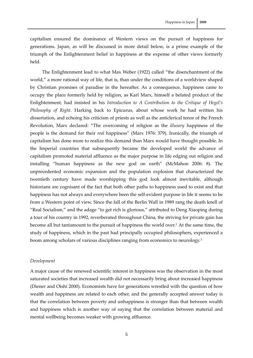capitalism ensured the dominance of Western views on the pursuit of happiness for generations. Japan, as will be discussed in more detail below, is a prime example of the triumph of the Enlightenment belief in happiness at the expense of other views formerly

The Enlightenment lead to what Max Weber (1922) called "the disenchantment of the world," a more rational way of life, that is, than under the conditions of a worldview shaped by Christian promises of paradise in the hereafter. As a consequence, happiness came to occupy the place formerly held by religion, as Karl Marx, himself a belated product of the Enlightenment, had insisted in his *Introduction to A Contribution to the Critique of Hegel's Philosophy of Right*. Harking back to Epicurus, about whose work he had written his dissertation, and echoing his criticism of priests as well as the anticlerical tenor of the French Revolution, Marx declared: "The overcoming of religion as the *illusory* happiness of the people is the demand for their *real* happiness" (Marx 1976: 379). Ironically, the triumph of capitalism has done more to realize this demand than Marx would have thought possible. In the Imperial countries that subsequently became the developed world the advance of capitalism promoted material affluence as the major purpose in life edging out religion and installing "human happiness as the new god on earth" (McMahon 2006: 8). The unprecedented economic expansion and the population explosion that characterized the twentieth century have made worshipping this god look almost inevitable, although historians are cognisant of the fact that both other paths to happiness used to exist and that happiness has not always and everywhere been the self-evident purpose in life it seems to be from a Western point of view. Since the fall of the Berlin Wall in 1989 rang the death knell of "Real Socialism," and the adage "to get rich is glorious," attributed to Deng Xiaoping during a tour of his country in 1992, reverberated throughout China, the striving for private gain has become all but tantamount to the pursuit of happiness the world over.[2](#page-29-1) At the same time, the study of happiness, which in the past had principally occupied philosophers, experienced a boom among scholars of various disciplines ranging from economics to neurology.[3](#page-29-1)

### *Development*

held.

A major cause of the renewed scientific interest in happiness was the observation in the most saturated societies that increased wealth did not necessarily bring about increased happiness (Diener and Oishi 2000). Economists have for generations wrestled with the question of how wealth and happiness are related to each other, and the generally accepted answer today is that the correlation between poverty and unhappiness is stronger than that between wealth and happiness which is another way of saying that the correlation between material and mental wellbeing becomes weaker with growing affluence.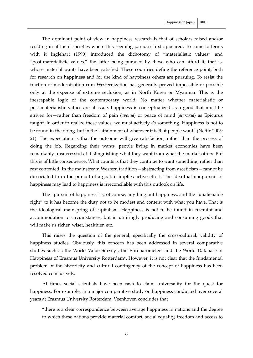The dominant point of view in happiness research is that of scholars raised and/or residing in affluent societies where this seeming paradox first appeared. To come to terms with it Inglehart (1990) introduced the dichotomy of "materialistic values" and "post-materialistic values," the latter being pursued by those who can afford it, that is, whose material wants have been satisfied. These countries define the reference point, both for research on happiness and for the kind of happiness others are pursuing. To resist the traction of modernization cum Westernization has generally proved impossible or possible only at the expense of extreme seclusion, as in North Korea or Myanmar. This is the inescapable logic of the contemporary world. No matter whether materialistic or post‐materialistic values are at issue, happiness is conceptualized as a good that must be striven for—rather than freedom of pain (*aponía*) or peace of mind (*ataraxía*) as Epicurus taught. In order to realize these values, we must actively *do* something. Happiness is not to be found in the doing, but in the "attainment of whatever it is that people want" (Nettle 2005: 21). The expectation is that the outcome will give satisfaction, rather than the process of doing the job. Regarding their wants, people living in market economies have been remarkably unsuccessful at distinguishing what they want from what the market offers. But this is of little consequence. What counts is that they continue to want something, rather than rest contented. In the mainstream Western tradition—abstracting from asceticism—cannot be dissociated form the pursuit of a goal, it implies active effort. The idea that nonpursuit of happiness may lead to happiness is irreconcilable with this outlook on life.

The "pursuit of happiness" is, of course, anything but happiness, and the "unalienable right" to it has become the duty not to be modest and content with what you have. That is the ideological mainspring of capitalism. Happiness is not to be found in restraint and accommodation to circumstances, but in untiringly producing and consuming goods that will make us richer, wiser, healthier, etc.

This raises the question of the general, specifically the cross-cultural, validity of happiness studies. Obviously, this concern has been addressed in several comparative studies such as the World Value Survey<sup>[4](#page-29-1)</sup>, the Eurobarometer<sup>[5](#page-29-1)</sup> and the World Database of Happiness of Erasmus University Rotterdam<sup>[6](#page-29-1)</sup>. However, it is not clear that the fundamental problem of the historicity and cultural contingency of the concept of happiness has been resolved conclusively.

At times social scientists have been rash to claim universality for the quest for happiness. For example, in a major comparative study on happiness conducted over several years at Erasmus University Rotterdam, Veenhoven concludes that

"there is a clear correspondence between average happiness in nations and the degree to which these nations provide material comfort, social equality, freedom and access to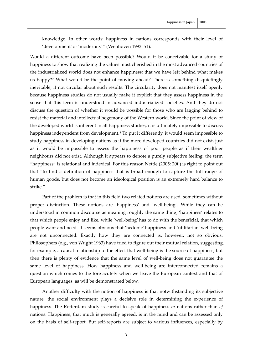knowledge. In other words: happiness in nations corresponds with their level of 'development' or 'modernity'" (Veenhoven 1993: 51).

Would a different outcome have been possible? Would it be conceivable for a study of happiness to show that realizing the values most cherished in the most advanced countries of the industrialized world does not enhance happiness; that we have left behind what makes us happy?[7](#page-29-1) What would be the point of moving ahead? There is something disquietingly inevitable, if not circular about such results. The circularity does not manifest itself openly because happiness studies do not usually make it explicit that they assess happiness in the sense that this term is understood in advanced industrialized societies. And they do not discuss the question of whether it would be possible for those who are lagging behind to resist the material and intellectual hegemony of the Western world. Since the point of view of the developed world is inherent in all happiness studies, it is ultimately impossible to discuss happiness independent from development.<sup>[8](#page-29-1)</sup> To put it differently, it would seem impossible to study happiness in developing nations as if the more developed countries did not exist, just as it would be impossible to assess the happiness of poor people as if their wealthier neighbours did not exist. Although it appears to denote a purely subjective feeling, the term "happiness" is relational and indexical. For this reason Nettle (2005: 20f.) is right to point out that "to find a definition of happiness that is broad enough to capture the full range of human goods, but does not become an ideological position is an extremely hard balance to strike."

Part of the problem is that in this field two related notions are used, sometimes without proper distinction. These notions are 'happiness' and 'well‐being'. While they can be understood in common discourse as meaning roughly the same thing, 'happiness' relates to that which people enjoy and like, while 'well‐being' has to do with the beneficial, that which people want and need. It seems obvious that 'hedonic' happiness and 'utilitarian' well‐being are not unconnected. Exactly how they are connected is, however, not so obvious. Philosophers (e.g., von Wright 1963) have tried to figure out their mutual relation, suggesting, for example, a causal relationship to the effect that well-being is the source of happiness, but then there is plenty of evidence that the same level of well‐being does not guarantee the same level of happiness. How happiness and well-being are interconnected remains a question which comes to the fore acutely when we leave the European context and that of European languages, as will be demonstrated below.

Another difficulty with the notion of happiness is that notwithstanding its subjective nature, the social environment plays a decisive role in determining the experience of happiness. The Rotterdam study is careful to speak of happiness *in* nations rather than *of* nations. Happiness, that much is generally agreed, is in the mind and can be assessed only on the basis of self‐report. But self‐reports are subject to various influences, especially by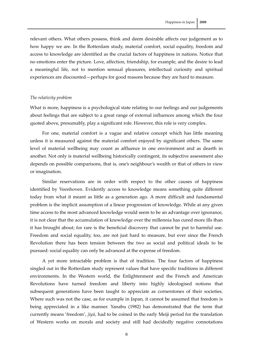relevant others. What others possess, think and deem desirable affects our judgement as to how happy we are. In the Rotterdam study, material comfort, social equality, freedom and access to knowledge are identified as the crucial factors of happiness in nations. Notice that no emotions enter the picture. Love, affection, friendship, for example, and the desire to lead a meaningful life, not to mention sensual pleasures, intellectual curiosity and spiritual experiences are discounted—perhaps for good reasons because they are hard to measure.

# *The relativity problem*

What is more, happiness is a psychological state relating to our feelings and our judgements about feelings that are subject to a great range of external influences among which the four quoted above, presumably, play a significant role. However, this role is very complex.

For one, material comfort is a vague and relative concept which has little meaning unless it is measured against the material comfort enjoyed by significant others. The same level of material wellbeing may count as affluence in one environment and as dearth in another. Not only is material wellbeing historically contingent, its subjective assessment also depends on possible comparisons, that is, one's neighbour's wealth or that of others in view or imagination.

Similar reservations are in order with respect to the other causes of happiness identified by Veenhoven. Evidently access to knowledge means something quite different today from what it meant as little as a generation ago. A more difficult and fundamental problem is the implicit assumption of a linear progression of knowledge. While at any given time access to the most advanced knowledge would seem to be an advantage over ignorance, it is not clear that the accumulation of knowledge over the millennia has cured more ills than it has brought about; for rare is the beneficial discovery that cannot be put to harmful use. Freedom and social equality, too, are not just hard to measure, but ever since the French Revolution there has been tension between the two as social and political ideals to be pursued: social equality can only be advanced at the expense of freedom.

A yet more intractable problem is that of tradition. The four factors of happiness singled out in the Rotterdam study represent values that have specific traditions in different environments. In the Western world, the Enlightenment and the French and American Revolutions have turned freedom and liberty into highly ideologised notions that subsequent generations have been taught to appreciate as cornerstones of their societies. Where such was not the case, as for example in Japan, it cannot be assumed that freedom is being appreciated in a like manner. Yanabu (1982) has demonstrated that the term that currently means 'freedom', *jiyū*, had to be coined in the early Meiji period for the translation of Western works on morals and society and still had decidedly negative connotations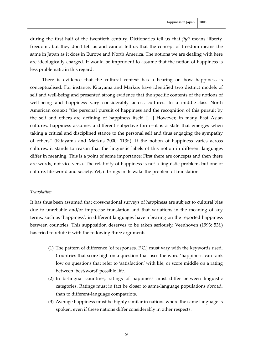during the first half of the twentieth century. Dictionaries tell us that *jiyū* means 'liberty, freedom', but they don't tell us and cannot tell us that the concept of freedom means the same in Japan as it does in Europe and North America. The notions we are dealing with here are ideologically charged. It would be imprudent to assume that the notion of happiness is less problematic in this regard.

There is evidence that the cultural context has a bearing on how happiness is conceptualised. For instance, Kitayama and Markus have identified two distinct models of self and well-being and presented strong evidence that the specific contents of the notions of well-being and happiness vary considerably across cultures. In a middle-class North American context "the personal pursuit of happiness and the recognition of this pursuit by the self and others are defining of happiness itself. […] However, in many East Asian cultures, happiness assumes a different subjective form—it is a state that emerges when taking a critical and disciplined stance to the personal self and thus engaging the sympathy of others" (Kitayama and Markus 2000: 113f.). If the notion of happiness varies across cultures, it stands to reason that the linguistic labels of this notion in different languages differ in meaning. This is a point of some importance: First there are concepts and then there are words, not vice versa. The relativity of happiness is not a linguistic problem, but one of culture, life‐world and society. Yet, it brings in its wake the problem of translation.

### *Translation*

It has thus been assumed that cross-national surveys of happiness are subject to cultural bias due to unreliable and/or imprecise translation and that variations in the meaning of key terms, such as 'happiness', in different languages have a bearing on the reported happiness between countries. This supposition deserves to be taken seriously. Veenhoven (1993: 53f.) has tried to refute it with the following three arguments.

- (1) The pattern of difference [of responses, F.C.] must vary with the keywords used. Countries that score high on a question that uses the word 'happiness' can rank low on questions that refer to 'satisfaction' with life, or score middle on a rating between 'best/worst' possible life.
- (2) In bi‐lingual countries, ratings of happiness must differ between linguistic categories. Ratings must in fact be closer to same‐language populations abroad, than to different‐language compatriots.
- (3) Average happiness must be highly similar in nations where the same language is spoken, even if these nations differ considerably in other respects.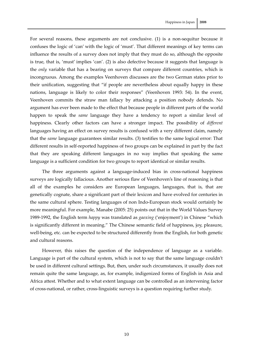For several reasons, these arguments are not conclusive. (1) is a non-sequitur because it confuses the logic of 'can' with the logic of 'must'. That different meanings of key terms can influence the results of a survey does not imply that they must do so, although the opposite is true, that is, 'must' implies 'can'. (2) is also defective because it suggests that language is the *only* variable that has a bearing on surveys that compare different countries, which is incongruous. Among the examples Veenhoven discusses are the two German states prior to their unification, suggesting that "if people are nevertheless about equally happy in these nations, language is likely to color their responses" (Veenhoven 1993: 54). In the event, Veenhoven commits the straw man fallacy by attacking a position nobody defends. No argument has ever been made to the effect that because people in different parts of the world

happen to speak the *same* language they have a tendency to report a similar level of happiness. Clearly other factors can have a stronger impact. The possibility of *different* languages having an effect on survey results is confused with a very different claim, namely that the *same* language guarantees similar results. (3) testifies to the same logical error: That different results in self‐reported happiness of two groups can be explained in part by the fact that they are speaking different languages in no way implies that speaking the same language is a sufficient condition for two groups to report identical or similar results.

The three arguments against a language-induced bias in cross-national happiness surveys are logically fallacious. Another serious flaw of Veenhoven's line of reasoning is that all of the examples he considers are European languages, languages, that is, that are genetically cognate, share a significant part of their lexicon and have evolved for centuries in the same cultural sphere. Testing languages of non Indo‐European stock would certainly be more meaningful. For example, Manabe (2005: 25) points out that in the World Values Survey 1989‐1992, the English term *happy* was translated as *gaoxing* ('enjoyment') in Chinese "which is significantly different in meaning." The Chinese semantic field of happiness, joy, pleasure, well-being, etc. can be expected to be structured differently from the English, for both genetic and cultural reasons.

However, this raises the question of the independence of language as a variable. Language is part of the cultural system, which is not to say that the same language couldn't be used in different cultural settings. But, then, under such circumstances, it usually does not remain quite the same language, as, for example, indigenized forms of English in Asia and Africa attest. Whether and to what extent language can be controlled as an intervening factor of cross‐national, or rather, cross‐linguistic surveys is a question requiring further study.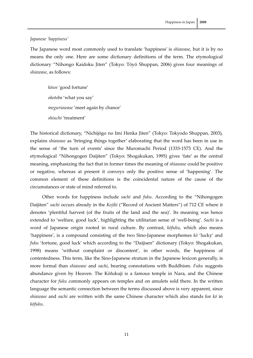## *Japanese 'happiness'*

The Japanese word most commonly used to translate 'happiness' is *shiawase*, but it is by no means the only one. Here are some dictionary definitions of the term. The etymological dictionary "Nihongo Kaidoku Jiten" (Tokyo: Tōyō Shuppan, 2006) gives four meanings of *shiawase*, as follows:

*kōun* 'good fortune' *okotoba* 'what you say' *meguriawase* 'meet again by chance' *shiuchi* 'treatment'

The historical dictionary, "Nichijōgo no Imi Henka Jiten" (Tokyo: Tokyodo Shuppan, 2003), explains *shiawase* as 'bringing things together' elaborating that the word has been in use in the sense of 'the turn of events' since the Muromachi Period (1333‐1573 CE). And the etymological "Nihongogen Daijiten" (Tokyo: Shogakukan, 1995) gives 'fate' as the central meaning, emphasizing the fact that in former times the meaning of *shiawase* could be positive or negative, whereas at present it conveys only the positive sense of 'happening'. The common element of these definitions is the coincidental nature of the cause of the circumstances or state of mind referred to.

Other words for happiness include *sachi* and *fuku*. According to the "Nihongogen Daijiten" *sachi* occurs already in the *Kojiki* ("Record of Ancient Matters") of 712 CE where it denotes 'plentiful harvest (of the fruits of the land and the sea)'. Its meaning was hence extended to 'welfare, good luck', highlighting the utilitarian sense of 'well‐being'. *Sachi* is a word of Japanese origin rooted in rural culture. By contrast, *kōfuku*, which also means 'happiness', is a compound consisting of the two Sino‐Japanese morphemes *kō* 'lucky' and *fuku* 'fortune, good luck' which according to the "Daijisen" dictionary (Tokyo: Shogakukan, 1998) means 'without complaint or discontent', in other words, the happiness of contentedness. This term, like the Sino‐Japanese stratum in the Japanese lexicon generally, is more formal than *shiawase* and *sachi*, bearing connotations with Buddhism. *Fuku* suggests abundance given by Heaven. The Kōfukuji is a famous temple in Nara, and the Chinese character for *fuku* commonly appears on temples and on amulets sold there. In the written language the semantic connection between the terms discussed above is very apparent, since *shiawase* and *sachi* are written with the same Chinese character which also stands for *kō* in *kōfuku*.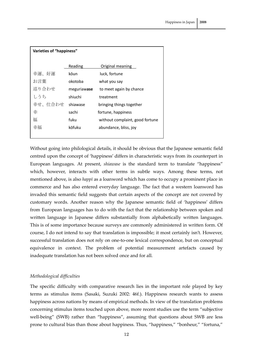| Varieties of "happiness" |             |                                 |
|--------------------------|-------------|---------------------------------|
|                          | Reading     | Original meaning                |
| 幸運、好運                    | kōun        | luck, fortune                   |
| お言葉                      | okotoba     | what you say                    |
| 巡り合わせ                    | meguriawase | to meet again by chance         |
| しうち                      | shiuchi     | treatment                       |
| 幸せ、仕合わせ                  | shiawase    | bringing things together        |
| 幸                        | sachi       | fortune, happiness              |
| 福                        | fuku        | without complaint, good fortune |
| 幸福                       | kōfuku      | abundance, bliss, joy           |
|                          |             |                                 |

Without going into philological details, it should be obvious that the Japanese semantic field centred upon the concept of 'happiness' differs in characteristic ways from its counterpart in European languages. At present, *shiawase* is the standard term to translate "happiness" which, however, interacts with other terms in subtle ways. Among these terms, not mentioned above, is also *happī* as a loanword which has come to occupy a prominent place in commerce and has also entered everyday language. The fact that a western loanword has invaded this semantic field suggests that certain aspects of the concept are not covered by customary words. Another reason why the Japanese semantic field of 'happiness' differs from European languages has to do with the fact that the relationship between spoken and written language in Japanese differs substantially from alphabetically written languages. This is of some importance because surveys are commonly administered in written form. Of course, I do not intend to say that translation is impossible; it most certainly isn't. However, successful translation does not rely on one‐to‐one lexical correspondence, but on conceptual equivalence in context. The problem of potential measurement artefacts caused by inadequate translation has not been solved once and for all.

# *Methodological difficulties*

The specific difficulty with comparative research lies in the important role played by key terms as stimulus items (Sasaki, Suzuki 2002: 46f.). Happiness research wants to assess happiness across nations by means of empirical methods. In view of the translation problems concerning stimulus items touched upon above, more recent studies use the term "subjective well-being" (SWB) rather than "happiness", assuming that questions about SWB are less prone to cultural bias than those about happiness. Thus, "happiness," "bonheur," "fortuna,"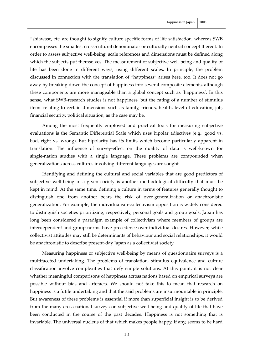"shiawase, etc. are thought to signify culture specific forms of life‐satisfaction, whereas SWB encompasses the smallest cross‐cultural denominator or culturally neutral concept thereof. In order to assess subjective well‐being, scale references and dimensions must be defined along which the subjects put themselves. The measurement of subjective well-being and quality of life has been done in different ways, using different scales. In principle, the problem discussed in connection with the translation of "happiness" arises here, too. It does not go away by breaking down the concept of happiness into several composite elements, although these components are more manageable than a global concept such as 'happiness'. In this sense, what SWB‐research studies is not happiness, but the rating of a number of stimulus items relating to certain dimensions such as family, friends, health, level of education, job, financial security, political situation, as the case may be.

Among the most frequently employed and practical tools for measuring subjective evaluations is the Semantic Differential Scale which uses bipolar adjectives (e.g., good vs. bad, right vs. wrong). But bipolarity has its limits which become particularly apparent in translation. The influence of survey-effect on the quality of data is well-known for single‐nation studies with a single language. These problems are compounded when generalizations across cultures involving different languages are sought.

Identifying and defining the cultural and social variables that are good predictors of subjective well-being in a given society is another methodological difficulty that must be kept in mind. At the same time, defining a culture in terms of features generally thought to distinguish one from another bears the risk of over-generalization or anachronistic generalization. For example, the individualism‐collectivism opposition is widely considered to distinguish societies prioritizing, respectively, personal goals and group goals. Japan has long been considered a paradigm example of collectivism where members of groups are interdependent and group norms have precedence over individual desires. However, while collectivist attitudes may still be determinants of behaviour and social relationships, it would be anachronistic to describe present‐day Japan as a collectivist society.

Measuring happiness or subjective well‐being by means of questionnaire surveys is a multifaceted undertaking. The problems of translation, stimulus equivalence and culture classification involve complexities that defy simple solutions. At this point, it is not clear whether meaningful comparisons of happiness across nations based on empirical surveys are possible without bias and artefacts. We should not take this to mean that research on happiness is a futile undertaking and that the said problems are insurmountable in principle. But awareness of these problems is essential if more than superficial insight is to be derived from the many cross-national surveys on subjective well-being and quality of life that have been conducted in the course of the past decades. Happiness is not something that is invariable. The universal nucleus of that which makes people happy, if any, seems to be hard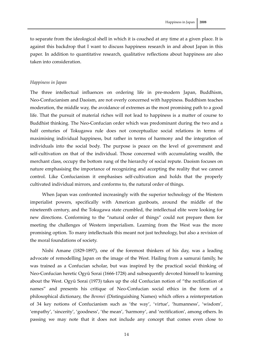to separate from the ideological shell in which it is couched at any time at a given place. It is against this backdrop that I want to discuss happiness research in and about Japan in this paper. In addition to quantitative research, qualitative reflections about happiness are also taken into consideration.

# *Happiness in Japan*

The three intellectual influences on ordering life in pre-modern Japan, Buddhism, Neo‐Confucianism and Daoism, are not overly concerned with happiness. Buddhism teaches moderation, the middle way, the avoidance of extremes as the most promising path to a good life. That the pursuit of material riches will not lead to happiness is a matter of course to Buddhist thinking. The Neo‐Confucian order which was predominant during the two and a half centuries of Tokugawa rule does not conceptualize social relations in terms of maximising individual happiness, but rather in terms of harmony and the integration of individuals into the social body. The purpose is peace on the level of government and self-cultivation on that of the individual. Those concerned with accumulating wealth, the merchant class, occupy the bottom rung of the hierarchy of social repute. Daoism focuses on nature emphasising the importance of recognizing and accepting the reality that we cannot control. Like Confucianism it emphasises self‐cultivation and holds that the properly cultivated individual mirrors, and conforms to, the natural order of things.

When Japan was confronted increasingly with the superior technology of the Western imperialist powers, specifically with American gunboats, around the middle of the nineteenth century, and the Tokugawa state crumbled, the intellectual elite were looking for new directions. Conforming to the "natural order of things" could not prepare them for meeting the challenges of Western imperialism. Learning from the West was the more promising option. To many intellectuals this meant not just technology, but also a revision of the moral foundations of society.

Nishi Amane (1829‐1897), one of the foremost thinkers of his day, was a leading advocate of remodelling Japan on the image of the West. Hailing from a samurai family, he was trained as a Confucian scholar, but was inspired by the practical social thinking of Neo‐Confucian heretic Ogyū Sorai (1666‐1728) and subsequently devoted himself to learning about the West. Ogyū Sorai (1973) takes up the old Confucian notion of "the rectification of names" and presents his critique of Neo‐Confucian social ethics in the form of a philosophical dictionary, the *Benmei* (Distinguishing Names) which offers a reinterpretation of 34 key notions of Confucianism such as 'the way', 'virtue', 'humanness', 'wisdom', 'empathy', 'sincerity', 'goodness', 'the mean', 'harmony', and 'rectification', among others. In passing we may note that it does not include any concept that comes even close to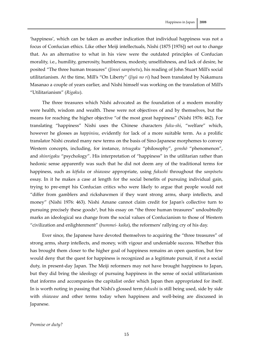'happiness', which can be taken as another indication that individual happiness was not a focus of Confucian ethics. Like other Meiji intellectuals, Nishi (1875 [1976]) set out to change that. As an alternative to what in his view were the outdated principles of Confucian morality, i.e., humility, generosity, humbleness, modesty, unselfishness, and lack of desire, he posited "The three human treasures" (*Jinsei sanpōsetu*), his reading of John Stuart Mill's social

utilitarianism. At the time, Mill's "On Liberty" (*Jiyū no ri*) had been translated by Nakamura Masanao a couple of years earlier, and Nishi himself was working on the translation of Mill's "Utilitarianism" (*Rigaku*).

The three treasures which Nishi advocated as the foundation of a modern morality were health, wisdom and wealth. These were not objectives of and by themselves, but the means for reaching the higher objective "of the most great happiness" (Nishi 1976: 462). For translating "happiness" Nishi uses the Chinese characters *fuku‐shi*, "welfare" which, however he glosses as *happinisu*, evidently for lack of a more suitable term. As a prolific translator Nishi created many new terms on the basis of Sino‐Japanese morphemes to convey Western concepts, including, for instance, *tetsugaku* "philosophy", *genshō* "phenomenon", and *shinrigaku* "psychology". His interpretation of "happiness" in the utilitarian rather than hedonic sense apparently was such that he did not deem any of the traditional terms for happiness, such as *kōfuku* or *shiawase* appropriate, using *fukushi* throughout the *sanpōsetu* essay. In it he makes a case at length for the social benefits of pursuing individual gain, trying to pre‐empt his Confucian critics who were likely to argue that people would not "differ from gamblers and rickshawmen if they want strong arms, sharp intellects, and money" (Nishi 1976: 463). Nishi Amane cannot claim credit for Japan's collective turn to pursuing precisely these goods[9](#page-29-1), but his essay on "the three human treasures" undoubtedly marks an ideological sea change from the social values of Confucianism to those of Western "civilization and enlightenment" (*bummei‐ kaika*), the reformers'rallying cry of his day.

Ever since, the Japanese have devoted themselves to acquiring the "three treasures" of strong arms, sharp intellects, and money, with vigour and undeniable success. Whether this has brought them closer to the higher goal of happiness remains an open question, but few would deny that the quest for happiness is recognized as a legitimate pursuit, if not a social duty, in present‐day Japan. The Meiji reformers may not have brought happiness to Japan, but they did bring the ideology of pursuing happiness in the sense of social utilitarianism that informs and accompanies the capitalist order which Japan then appropriated for itself. In is worth noting in passing that Nishi's glossed term *fukushi* is still being used, side by side with *shiawase* and other terms today when happiness and well-being are discussed in Japanese.

*Promise or duty?*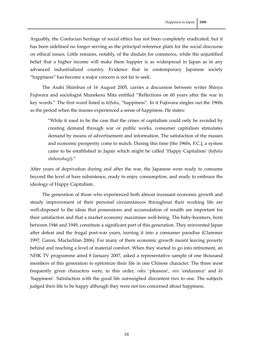Arguably, the Confucian heritage of social ethics has not been completely eradicated, but it has been sidelined no longer serving as the principal reference plain for the social discourse on ethical issues. Little remains, notably, of the disdain for commerce, while the unjustified belief that a higher income will make them happier is as widespread in Japan as in any advanced industrialized country. Evidence that in contemporary Japanese society "happiness" has become a major concern is not far to seek.

The Asahi Shimbun of 16 August 2005, carries a discussion between writer Shinya Fujiwara and sociologist Munekesu Mita entitled "Reflections on 60 years after the war in key words." The first word listed is *kōfuku*, "happiness". In it Fujiwara singles out the 1960s as the period when the masses experienced a sense of happiness. He states:

"While it used to be the case that the crises of capitalism could only be avoided by creating demand through war or public works, consumer capitalism stimulates demand by means of advertisement and information. The satisfaction of the masses and economic prosperity come to match. During this time [the 1960s, F.C.], a system came to be established in Japan which might be called 'Happy Capitalism' (*kōfuku shihonshugi*)."

After years of deprivation during and after the war, the Japanese were ready to consume beyond the level of bare subsistence, ready to enjoy consumption, and ready to embrace the ideology of Happy Capitalism.

The generation of those who experienced both almost incessant economic growth and steady improvement of their personal circumstances throughout their working life are well-disposed to the ideas that possessions and accumulation of wealth are important for their satisfaction and that a market economy maximises well‐being. The baby‐boomers, born between 1946 and 1949, constitute a significant part of this generation. They reinvented Japan after defeat and the frugal post‐war years, turning it into a consumer paradise (Clammer 1997, Garon, Maclachlan 2006). For many of them economic growth meant leaving poverty behind and reaching a level of material comfort. When they started to go into retirement, an NHK TV programme aired 8 January 2007, asked a representative sample of one thousand members of this generation to epitomize their life in one Chinese character. The three most frequently given characters were, in this order, *raku* 'pleasure', *nin* 'endurance' and *kō* 'happiness'. Satisfaction with the good life outweighed discontent two to one. The subjects judged their life to be happy although they were not too concerned about happiness.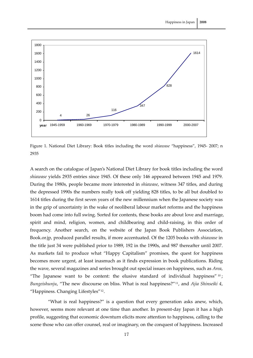

Figure 1. National Diet Library: Book titles including the word *shiawase* "happiness", 1945‐ 2007; n 2935

A search on the catalogue of Japan's National Diet Library for book titles including the word *shiawase* yields 2935 entries since 1945. Of these only 146 appeared between 1945 and 1979. During the 1980s, people became more interested in *shiawase*, witness 347 titles, and during the depressed 1990s the numbers really took off yielding 828 titles, to be all but doubled to 1614 titles during the first seven years of the new millennium when the Japanese society was in the grip of uncertainty in the wake of neoliberal labour market reforms and the happiness boom had come into full swing. Sorted for contents, these books are about love and marriage, spirit and mind, religion, women, and childbearing and child-raising, in this order of frequency. Another search, on the website of the Japan Book Publishers Association, Book.or.jp, produced parallel results, if more accentuated. Of the 1205 books with *shiawase* in the title just 34 were published prior to 1989, 192 in the 1990s, and 987 thereafter until 2007. As markets fail to produce what "Happy Capitalism" promises, the quest for happiness becomes more urgent, at least inasmuch as it finds expression in book publications. Riding the wave, several magazines and series brought out special issues on happiness, such as *Area*, "The Japanese want to be content: the elusive standard of individual happiness"  $10$ ; *Bungeishunju*, "The new discourse on bliss. What is real happiness?"[11](#page-29-1), and *Ajia Shinseiki 4*, "Happiness. Changing Lifestyles"[12](#page-29-1).

"What is real happiness?" is a question that every generation asks anew, which, however, seems more relevant at one time than another. In present-day Japan it has a high profile, suggesting that economic downturn elicits more attention to happiness, calling to the scene those who can offer counsel, real or imaginary, on the conquest of happiness. Increased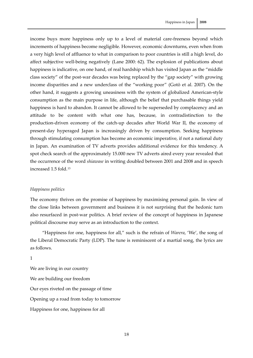income buys more happiness only up to a level of material care-freeness beyond which increments of happiness become negligible. However, economic downturns, even when from a very high level of affluence to what in comparison to poor countries is still a high level, do affect subjective well-being negatively (Lane 2000: 62). The explosion of publications about happiness is indicative, on one hand, of real hardship which has visited Japan as the "middle class society" of the post‐war decades was being replaced by the "gap society" with growing income disparities and a new underclass of the "working poor" (Gotō et al. 2007). On the other hand, it suggests a growing uneasiness with the system of globalized American‐style consumption as the main purpose in life, although the belief that purchasable things yield happiness is hard to abandon. It cannot be allowed to be superseded by complacency and an attitude to be content with what one has, because, in contradistinction to the production‐driven economy of the catch‐up decades after World War II, the economy of present‐day hyperaged Japan is increasingly driven by consumption. Seeking happiness through stimulating consumption has become an economic imperative, if not a national duty in Japan. An examination of TV adverts provides additional evidence for this tendency. A spot check search of the approximately 15.000 new TV adverts aired every year revealed that the occurrence of the word *shiawase* in writing doubled between 2001 and 2008 and in speech increased 1.5 fold.<sup>[13](#page-29-1)</sup>

# *Happiness politics*

The economy thrives on the promise of happiness by maximising personal gain. In view of the close links between government and business it is not surprising that the hedonic turn also resurfaced in post-war politics. A brief review of the concept of happiness in Japanese political discourse may serve as an introduction to the context.

"Happiness for one, happiness for all," such is the refrain of *Warera*, 'We', the song of the Liberal Democratic Party (LDP). The tune is reminiscent of a martial song, the lyrics are as follows.

1

We are living in our country We are building our freedom Our eyes riveted on the passage of time Opening up a road from today to tomorrow Happiness for one, happiness for all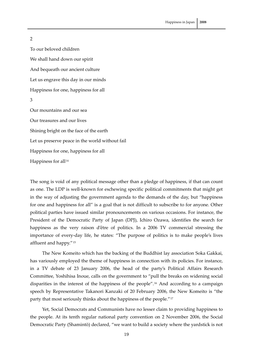# 2

To our beloved children We shall hand down our spirit And bequeath our ancient culture Let us engrave this day in our minds Happiness for one, happiness for all 3 Our mountains and our sea Our treasures and our lives Shining bright on the face of the earth Let us preserve peace in the world without fail Happiness for one, happiness for all Happiness for all<sup>[14](#page-29-1)</sup>

The song is void of any political message other than a pledge of happiness, if that can count as one. The LDP is well‐known for eschewing specific political commitments that might get in the way of adjusting the government agenda to the demands of the day, but "happiness for one and happiness for all" is a goal that is not difficult to subscribe to for anyone. Other political parties have issued similar pronouncements on various occasions. For instance, the President of the Democratic Party of Japan (DPJ), Ichiro Ozawa, identifies the search for happiness as the very raison d'être of politics. In a 2006 TV commercial stressing the importance of every‐day life, he states: "The purpose of politics is to make people's lives affluent and happy."[15](#page-29-2)

The New Komeito which has the backing of the Buddhist lay association Soka Gakkai, has variously employed the theme of happiness in connection with its policies. For instance, in a TV debate of 23 January 2006, the head of the party's Political Affairs Research Committee, Yoshihisa Inoue, calls on the government to "pull the breaks on widening social disparities in the interest of the happiness of the people".[16](#page-29-2) And according to a campaign speech by Representative Takanori Kanzaki of 20 February 2006, the New Komeito is "the party that most seriously thinks about the happiness of the people."[17](#page-29-2)

Yet, Social Democrats and Communists have no lesser claim to providing happiness to the people. At its tenth regular national party convention on 2 November 2006, the Social Democratic Party (Shamintō) declared, "we want to build a society where the yardstick is not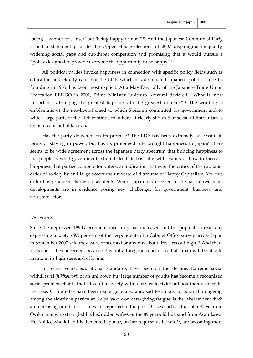'being a winner or a loser' but 'being happy or not.'"[18](#page-29-3) And the Japanese Communist Party issued a statement prior to the Upper House elections of 2007 disparaging inequality, widening social gaps and cut-throat competition and promising that it would pursue a "policy designed to provide everyone the opportunity to be happy".<sup>[19](#page-30-0)</sup>

All political parties invoke happiness in connection with specific policy fields such as education and elderly care, but the LDP, which has dominated Japanese politics since its founding in 1955, has been most explicit. At a May Day rally of the Japanese Trade Union Federation RENGO in 2001, Prime Minister Junichiro Koizumi declared: "What is most important is bringing the greatest happiness to the greatest number."[20](#page-30-0) The wording is emblematic of the neo-liberal creed to which Koizumi committed his government and to which large parts of the LDP continue to adhere. It clearly shows that social utilitarianism is by no means out of fashion.

Has the party delivered on its promise? The LDP has been extremely successful in terms of staying in power, but has its prolonged rule brought happiness to Japan? There seems to be wide agreement across the Japanese party spectrum that bringing happiness to the people is what governments should do. It is basically with claims of how to increase happiness that parties compete for voters, an indication that even the critics of the capitalist order of society by and large accept the universe of discourse of Happy Capitalism. Yet, this order has produced its own discontents. Where Japan had excelled in the past, unwelcome developments are in evidence posing new challenges for government, business, and non‐state actors.

# *Discontents*

Since the depressed 1990s, economic insecurity has increased and the population reacts by expressing anxiety. 69.5 per cent of the respondents of a Cabinet Office survey across Japan in September 2007 said they were concerned or anxious about life, a record high.<sup>[21](#page-30-0)</sup> And there is reason to be concerned, because it is not a foregone conclusion that Japan will be able to maintain its high standard of living.

In recent years, educational standards have been on the decline. Extreme social withdrawal (*hikikomori*) of an unknown but large number of youths has become a recognized social problem that is indicative of a society with a less collectivist outlook than used to be the case. Crime rates have been rising generally, and, sad testimony to population ageing, among the elderly in particular. *Kaigo tsukare* or 'care‐giving fatigue' is the label under which an increasing number of crimes are reported in the press. Cases such as that of a 90 year-old Osaka man who strangled his bedridden wife<sup>[22](#page-30-0)</sup>, or the 89 year-old husband from Asahikawa, Hokkaido, who killed his demented spouse, on her request, as he said<sup>[23](#page-30-0)</sup>, are becoming more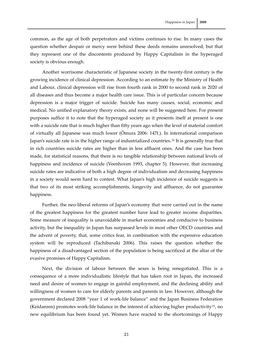common, as the age of both perpetrators and victims continues to rise. In many cases the question whether despair or mercy were behind these deeds remains unresolved, but that they represent one of the discontents produced by Happy Capitalism in the hyperaged society is obvious enough.

Another worrisome characteristic of Japanese society in the twenty‐first century is the growing incidence of clinical depression. According to an estimate by the Ministry of Health and Labour, clinical depression will rise from fourth rank in 2000 to second rank in 2020 of all diseases and thus become a major health care issue. This is of particular concern because depression is a major trigger of suicide. Suicide has many causes, social, economic and medical. No unified explanatory theory exists, and none will be suggested here. For present purposes suffice it to note that the hyperaged society as it presents itself at present is one with a suicide rate that is much higher than fifty years ago when the level of material comfort of virtually all Japanese was much lower (Ōmura 2006: 147f.). In international comparison Japan's suicide rate is in the higher range of industrialized countries.<sup>[24](#page-30-0)</sup> It is generally true that in rich countries suicide rates are higher than in less affluent ones. And the case has been made, for statistical reasons, that there is no tangible relationship between national levels of happiness and incidence of suicide (Veenhoven 1993, chapter 5). However, that increasing suicide rates are indicative of both a high degree of individualism and decreasing happiness in a society would seem hard to contest. What Japan's high incidence of suicide suggests is that two of its most striking accomplishments, longevity and affluence, do not guarantee happiness.

Further, the neo-liberal reforms of Japan's economy that were carried out in the name of the greatest happiness for the greatest number have lead to greater income disparities. Some measure of inequality is unavoidable in market economies and conducive to business activity, but the inequality in Japan has surpassed levels in most other OECD countries and the advent of poverty, that, some critics fear, in combination with the expensive education system will be reproduced (Tachibanaki 2006). This raises the question whether the happiness of a disadvantaged section of the population is being sacrificed at the altar of the evasive promises of Happy Capitalism.

Next, the division of labour between the sexes is being renegotiated. This is a consequence of a more individualistic lifestyle that has taken root in Japan, the increased need and desire of women to engage in gainful employment, and the declining ability and willingness of women to care for elderly parents and parents in law. However, although the government declared 2008 "year 1 of work‐life balance" and the Japan Business Federation (Keidanren) promotes work-life balance in the interest of achieving higher productivity<sup>[25](#page-30-0)</sup>, no new equilibrium has been found yet. Women have reacted to the shortcomings of Happy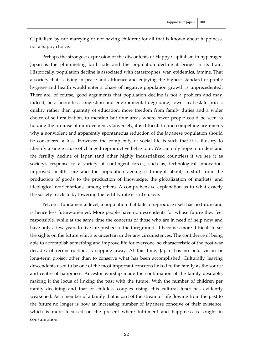Capitalism by not marrying or not having children; for all that is known about happiness, not a happy choice.

Perhaps the strongest expression of the discontents of Happy Capitalism in hyperaged Japan is the plummeting birth rate and the population decline it brings in its train. Historically, population decline is associated with catastrophes: war, epidemics, famine. That a society that is living in peace and affluence and enjoying the highest standard of public hygiene and health would enter a phase of negative population growth is unprecedented. There are, of course, good arguments that population decline is not a problem and may, indeed, be a boon: less congestion and environmental degrading; lower real‐estate prices; quality rather than quantity of education; more freedom from family duties and a wider choice of self‐realization, to mention but four areas where fewer people could be seen as holding the promise of improvement. Conversely, it is difficult to find compelling arguments why a nonviolent and apparently spontaneous reduction of the Japanese population should be considered a loss. However, the complexity of social life is such that it is illusory to identify a single cause of changed reproductive behaviour. We can only hope to understand the fertility decline of Japan (and other highly industrialized countries) if we see it as society's response to a variety of contingent forces, such as, technological innovation, improved health care and the population ageing it brought about, a shift from the production of goods to the production of knowledge, the globalization of markets, and ideological reorientations, among others. A comprehensive explanation as to what exactly the society reacts to by lowering the fertility rate is still elusive.

Yet, on a fundamental level, a population that fails to reproduce itself has no future and is hence less future‐oriented. More people have no descendents for whose future they feel responsible, while at the same time the concerns of those who are in need of help now and have only a few years to live are pushed to the foreground. It becomes more difficult to set the sights on the future which is uncertain under any circumstances. The confidence of being able to accomplish something and improve life for everyone, so characteristic of the post-war decades of reconstruction, is slipping away. At this time, Japan has no bold vision or long-term project other than to conserve what has been accomplished. Culturally, leaving descendents used to be one of the most important concerns linked to the family as the source and centre of happiness. Ancestor worship made the continuation of the family desirable, making it the locus of linking the past with the future. With the number of children per family declining and that of childless couples rising, this cultural tenet has evidently weakened. As a member of a family that is part of the stream of life flowing from the past to the future no longer is how an increasing number of Japanese conceive of their existence, which is more focussed on the present where fulfilment and happiness is sought in consumption.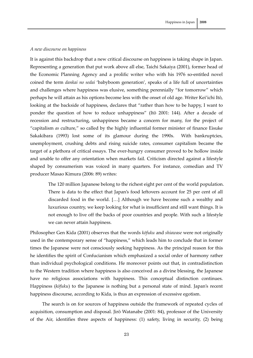# *A new discourse on happiness*

It is against this backdrop that a new critical discourse on happiness is taking shape in Japan. Representing a generation that put work above all else, Taichi Sakaiya (2001), former head of the Economic Planning Agency and a prolific writer who with his 1976 so-entitled novel coined the term *dankai no sedai* 'babyboom generation', speaks of a life full of uncertainties and challenges where happiness was elusive, something perennially "for tomorrow" which perhaps he will attain as his options become less with the onset of old age. Writer Kei'ichi Itō, looking at the backside of happiness, declares that "rather than how to be happy, I want to ponder the question of how to reduce unhappiness" (Itō 2001: 144). After a decade of recession and restructuring, unhappiness became a concern for many, for the project of "capitalism *as* culture," so called by the highly influential former minister of finance Eisuke Sakakibara (1993) lost some of its glamour during the 1990s. With bankruptcies, unemployment, crushing debts and rising suicide rates, consumer capitalism became the target of a plethora of critical essays. The ever-hungry consumer proved to be hollow inside and unable to offer any orientation when markets fail. Criticism directed against a lifestyle shaped by consumerism was voiced in many quarters. For instance, comedian and TV producer Masao Kimura (2006: 89) writes:

The 120 million Japanese belong to the richest eight per cent of the world population. There is data to the effect that Japan's food leftovers account for 25 per cent of all discarded food in the world. […] Although we have become such a wealthy and luxurious country, we keep looking for what is insufficient and still want things. It is not enough to live off the backs of poor countries and people. With such a lifestyle we can never attain happiness.

Philosopher Gen Kida (2001) observes that the words *kōfuku* and *shiawase* were not originally used in the contemporary sense of "happiness," which leads him to conclude that in former times the Japanese were not consciously seeking happiness. As the principal reason for this he identifies the spirit of Confucianism which emphasized a social order of harmony rather than individual psychological conditions. He moreover points out that, in contradistinction to the Western tradition where happiness is also conceived as a divine blessing, the Japanese have no religious associations with happiness. This conceptual distinction continues. Happiness (*kōfuku*) to the Japanese is nothing but a personal state of mind. Japan's recent happiness discourse, according to Kida, is thus an expression of excessive egotism.

The search is on for sources of happiness outside the framework of repeated cycles of acquisition, consumption and disposal. Jirō Watanabe (2001: 84), professor of the University of the Air, identifies three aspects of happiness: (1) safety, living in security, (2) being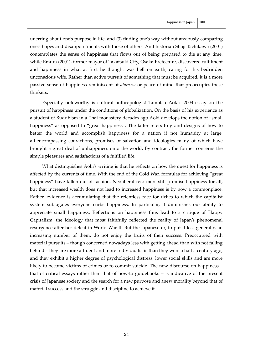unerring about one's purpose in life, and (3) finding one's way without anxiously comparing one's hopes and disappointments with those of others. And historian Shōji Tachikawa (2001) contemplates the sense of happiness that flows out of being prepared to die at any time, while Emura (2001), former mayor of Takatsuki City, Osaka Prefecture, discovered fulfilment and happiness in what at first he thought was hell on earth, caring for his bedridden unconscious wife. Rather than active pursuit of something that must be acquired, it is a more passive sense of happiness reminiscent of *ataraxia* or peace of mind that preoccupies these thinkers.

Especially noteworthy is cultural anthropologist Tamotsu Aoki's 2003 essay on the pursuit of happiness under the conditions of globalization. On the basis of his experience as a student of Buddhism in a Thai monastery decades ago Aoki develops the notion of "small happiness" as opposed to "great happiness". The latter refers to grand designs of how to better the world and accomplish happiness for a nation if not humanity at large, all‐encompassing convictions, promises of salvation and ideologies many of which have brought a great deal of unhappiness onto the world. By contrast, the former concerns the simple pleasures and satisfactions of a fulfilled life.

What distinguishes Aoki's writing is that he reflects on how the quest for happiness is affected by the currents of time. With the end of the Cold War, formulas for achieving "great happiness" have fallen out of fashion. Neoliberal reformers still promise happiness for all, but that increased wealth does not lead to increased happiness is by now a commonplace. Rather, evidence is accumulating that the relentless race for riches to which the capitalist system subjugates everyone curbs happiness. In particular, it diminishes our ability to appreciate small happiness. Reflections on happiness thus lead to a critique of Happy Capitalism, the ideology that most faithfully reflected the reality of Japan's phenomenal resurgence after her defeat in World War II. But the Japanese or, to put it less generally, an increasing number of them, do not enjoy the fruits of their success. Preoccupied with material pursuits – though concerned nowadays less with getting ahead than with not falling behind – they are more affluent and more individualistic than they were a half a century ago, and they exhibit a higher degree of psychological distress, lower social skills and are more likely to become victims of crimes or to commit suicide. The new discourse on happiness – that of critical essays rather than that of how‐to guidebooks – is indicative of the present crisis of Japanese society and the search for a new purpose and anew morality beyond that of material success and the struggle and discipline to achieve it.

24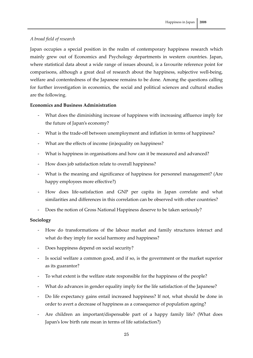# *A broad field of research*

Japan occupies a special position in the realm of contemporary happiness research which mainly grew out of Economics and Psychology departments in western countries. Japan, where statistical data about a wide range of issues abound, is a favourite reference point for comparisons, although a great deal of research about the happiness, subjective well-being, welfare and contentedness of the Japanese remains to be done. Among the questions calling for further investigation in economics, the social and political sciences and cultural studies are the following.

# **Economics and Business Administration**

- ‐ What does the diminishing increase of happiness with increasing affluence imply for the future of Japan's economy?
- What is the trade-off between unemployment and inflation in terms of happiness?
- ‐ What are the effects of income (in)equality on happiness?
- ‐ What is happiness in organisations and how can it be measured and advanced?
- ‐ How does job satisfaction relate to overall happiness?
- ‐ What is the meaning and significance of happiness for personnel management? (Are happy employees more effective?)
- ‐ How does life‐satisfaction and GNP per capita in Japan correlate and what similarities and differences in this correlation can be observed with other countries?
- ‐ Does the notion of Gross National Happiness deserve to be taken seriously?

# **Sociology**

- ‐ How do transformations of the labour market and family structures interact and what do they imply for social harmony and happiness?
- ‐ Does happiness depend on social security?
- ‐ Is social welfare a common good, and if so, is the government or the market superior as its guarantor?
- ‐ To what extent is the welfare state responsible for the happiness of the people?
- What do advances in gender equality imply for the life satisfaction of the Japanese?
- ‐ Do life expectancy gains entail increased happiness? If not, what should be done in order to avert a decrease of happiness as a consequence of population ageing?
- Are children an important/dispensable part of a happy family life? (What does Japan's low birth rate mean in terms of life satisfaction?)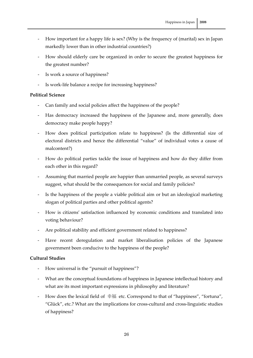- ‐ How important for a happy life is sex? (Why is the frequency of (marital) sex in Japan markedly lower than in other industrial countries?)
- ‐ How should elderly care be organized in order to secure the greatest happiness for the greatest number?
- Is work a source of happiness?
- ‐ Is work‐life balance a recipe for increasing happiness?

# **Political Science**

- ‐ Can family and social policies affect the happiness of the people?
- ‐ Has democracy increased the happiness of the Japanese and, more generally, does democracy make people happy?
- ‐ How does political participation relate to happiness? (Is the differential size of electoral districts and hence the differential "value" of individual votes a cause of malcontent?)
- ‐ How do political parties tackle the issue of happiness and how do they differ from each other in this regard?
- ‐ Assuming that married people are happier than unmarried people, as several surveys suggest, what should be the consequences for social and family policies?
- Is the happiness of the people a viable political aim or but an ideological marketing slogan of political parties and other political agents?
- ‐ How is citizens' satisfaction influenced by economic conditions and translated into voting behaviour?
- ‐ Are political stability and efficient government related to happiness?
- ‐ Have recent deregulation and market liberalisation policies of the Japanese government been conducive to the happiness of the people?

# **Cultural Studies**

- ‐ How universal is the "pursuit of happiness"?
- ‐ What are the conceptual foundations of happiness in Japanese intellectual history and what are its most important expressions in philosophy and literature?
- ‐ How does the lexical field of 幸福 etc. Correspond to that of "happiness", "fortuna", "Glück", etc.? What are the implications for cross‐cultural and cross‐linguistic studies of happiness?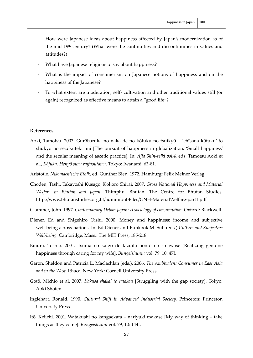- ‐ How were Japanese ideas about happiness affected by Japan's modernization as of the mid  $19<sup>th</sup>$  century? (What were the continuities and discontinuities in values and attitudes?)
- ‐ What have Japanese religions to say about happiness?
- ‐ What is the impact of consumerism on Japanese notions of happiness and on the happiness of the Japanese?
- ‐ To what extent are moderation, self‐ cultivation and other traditional values still (or again) recognized as effective means to attain a "good life"?

### **References**

- Aoki, Tamotsu. 2003. Gurōbaruka no naka de no kōfuku no tsuikyū 'chīsana kōfuku' to shūkyō no sezokuteki imi [The pursuit of happiness in globalization. 'Small happiness' and the secular meaning of ascetic practice]. In: *Ajia Shin‐seiki vol.4,* eds. Tamotsu Aoki et al., *Kōfuku. Henyō suru raifusutairu*, Tokyo: Iwanami, 63‐81.
- Aristotle. *Nikomachische Ethik*, ed. Günther Bien. 1972. Hamburg: Felix Meiner Verlag,
- Choden, Tashi, Takayoshi Kusago, Kokoro Shirai. 2007. *Gross National Happiness and Material Welfare in Bhutan and Japan.* Thimphu, Bhutan: The Centre for Bhutan Studies. http://www.bhutanstudies.org.bt/admin/pubFiles/GNH‐MaterialWelfare‐part1.pdf
- Clammer, John. 1997. *Contemporary Urban Japan: A sociology of consumption.* Oxford: Blackwell.
- Diener, Ed and Shigehiro Oishi. 2000. Money and happiness: income and subjective well‐being across nations. In: Ed Diener and Eunkook M. Suh (eds.) *Culture and Subjective Well‐being.* Cambridge, Mass.: The MIT Press, 185‐218.
- Emura, Toshio. 2001. Tsuma no kaigo de kizuita hontō no shiawase [Realizing genuine happiness through caring for my wife]. *Bungeishunju* vol. 79, 10: 47f.
- Garon, Sheldon and Patricia L. Maclachlan (eds.). 2006. *The Ambivalent Consumer in East Asia and in the West.* Ithaca, New York: Cornell University Press.
- Gotō, Michio et al. 2007. *Kakusa shakai to tatakau* [Struggling with the gap society]. Tokyo: Aoki Shoten.
- Inglehart, Ronald. 1990. *Cultural Shift in Advanced Industrial Society.* Princeton: Princeton University Press.
- Itō, Keiichi. 2001. Watakushi no kangaekata nariyuki makase [My way of thinking take things as they come]. *Bungeishunju* vol. 79, 10: 144f.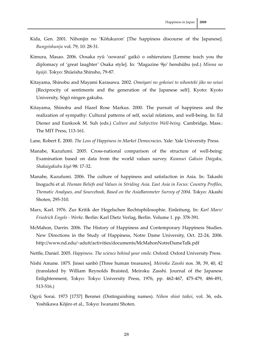- Kida, Gen. 2001. Nihonjin no 'Kōfukuron' [The happiness discourse of the Japanese]. *Bungeishunju* vol. 79, 10: 28‐31.
- Kimura, Masao. 2006. Oosaka ryū 'oowarai' gaikō o oshierutaru [Lemme teach you the diplomacy of 'great laughter' Osaka style]. In: 'Magazine 9jo' henshūbu (ed.) *Minna no kyūjō*. Tokyo: Shūeisha Shinsho, 79‐87.
- Kitayama, Shinobu and Mayami Karasawa. 2002. *Omoiyari no gokeisei to nihonteki jiko no seisei* [Reciprocity of sentiments and the generation of the Japanese self]. Kyoto: Kyoto University, Sōgō ningen gakubu.
- Kitayama, Shinobu and Hazel Rose Markus. 2000. The pursuit of happiness and the realization of sympathy: Cultural patterns of self, social relations, and well-being. In: Ed Diener and Eunkook M. Suh (eds.) *Culture and Subjective Well‐being.* Cambridge, Mass.: The MIT Press, 113‐161.
- Lane, Robert E. 2000. *The Loss of Happiness in Market Democracies*. Yale: Yale University Press.
- Manabe, Kazufumi. 2005. Cross-national comparison of the structure of well-being: Examination based on data from the world values survey. *Kwansei Gakuin Daigaku, Shakaigakubu kiyō* 98: 17‐32.
- Manabe, Kazufumi. 2006. The culture of happiness and satisfaction in Asia. In: Takashi Inoguchi et al. *Human Beliefs and Values in Striding Asia. East Asia in Focus: Country Profiles, Thematic Analyses, and Sourcebook, Based on the AsiaBarometer Survey of 2004.* Tokyo: Akashi Shoten, 295‐310.
- Marx, Karl. 1976. Zur Kritik der Hegelschen Rechtsphilosophie. Einleitung. In: *Karl Marx/ Friedrich Engels ‐ Werke*. Berlin: Karl Dietz Verlag, Berlin. Volume 1. pp. 378‐391.
- McMahon, Darrin. 2006. The History of Happiness and Contemporary Happiness Studies. New Directions in the Study of Happiness, Notre Dame University, Oct. 22‐24, 2006. http://www.nd.edu/~adutt/activities/documents/McMahonNotreDameTalk.pdf
- Nettle, Daniel. 2005. *Happiness. The science behind your smile.* Oxford: Oxford University Press.
- Nishi Amane. 1875. Jinsei sanbō [Three human treasures]. *Meiroku Zasshi* nos. 38, 39, 40, 42 (translated by William Reynolds Braisted, Meiroku Zasshi. Journal of the Japanese Enlightenment, Tokyo: Tokyo University Press, 1976, pp. 462‐467, 475‐479, 486‐491, 513‐516.)
- Ogyū Sorai. 1973 [1737] Benmei (Distinguishing names). *Nihon shisō taikei*, vol. 36, eds. Yoshikawa Kōjiro et al., Tokyo: Iwanami Shoten.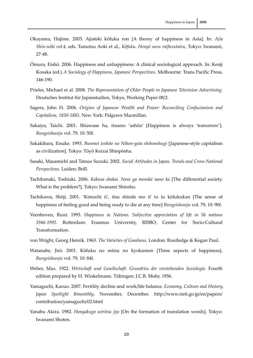- Okayama, Hajime. 2003. Ajiateki kōfuku ron [A theory of happiness in Asia]. In: *Ajia Shin‐seiki vol.4,* eds. Tamotsu Aoki et al., *Kōfuku. Henyō suru raifusutairu*, Tokyo: Iwanami, 27‐48.
- Ōmura, Eishō. 2006. Happiness and unhappiness: A clinical sociological approach. In: Kenji Kosaka (ed.) *A Sociology of Happiness, Japanese Perspectives*. Melbourne: Trans Pacific Press, 146‐190.
- Prieler, Michael et al. 2008. *The Representation of Older People in Japanese Television Advertising.* Deutsches Institut für Japanstudien, Tokyo, Working Paper 08/2.
- Sagers, John H. 2006. *Origins of Japanese Wealth and Power: Reconciling Confucianism and Capitalism, 1830‐1885.* New York: Palgrave Macmillan.
- Sakaiya, Taichi. 2001. Shiawase ha, itsumo 'ashita' [Happiness is always 'tomorrow']. *Bungeishunju* vol. 79, 10: 50f.
- Sakakibara, Eisuke. 1993. *Bunmei toshite no Nihon‐gata shihonshugi* [Japanese‐style capitalism as civilization]. Tokyo: Tōyō Keizai Shinpōsha.
- Sasaki, Masamichi and Tatsuo Suzuki. 2002. *Social Attitudes in Japan. Trends and Cross‐National Perspectives.* Leiden: Brill.
- Tachibanaki, Toshiaki. 2006. *Kakusa shakai. Nani ga mondai nano ka* [The differential society. What is the problem?]. Tokyo: Iwanami Shinsho.
- Tachikawa, Shōji. 2001. 'Kimochi ii', itsu shinde mo ii' to iu kōfukukan [The sense of happiness of feeling good and being ready to die at any time] *Bungeishunju* vol. 79, 10: 90f.
- Veenhoven, Ruut. 1993. *Happiness in Nations. Subjective appreciation of life in 56 nations 1946‐1992*. Rotterdam: Erasmus University, RISBO, Center for Socio‐Cultural Transformation.
- von Wright, Georg Henrik. 1963. *The Varieties of Goodness*. London: Routledge & Kegan Paul.
- Watanabe, Jirō. 2001. Kōfuku no mitsu no kyokumen [Three aspects of happiness]. *Bungeishunju* vol. 79, 10: 84f.
- Weber, Max. 1922. *Wirtschaft und Gesellschaft. Grundriss der verstehenden Soziologie.* Fourth edition prepared by H. Winkelmann. Tübingen: J.C.B. Mohr, 1956.
- Yamaguchi, Kazuo. 2007. Fertility decline and work/life balance. *Economy, Culture and History, Japan Spotlight Bimonthly*, November, December. http://www.rieti.go.jp/en/papers/ contribution/yamaguchi/02.html
- Yanabu Akira. 1982. *Honyakugo seiritsu jijo* [On the formation of translation words]. Tokyo: Iwanami Shoten.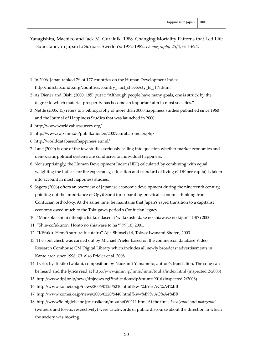<span id="page-29-1"></span>Yanagishita, Machiko and Jack M. Guralnik. 1988. Changing Mortality Patterns that Led Life Expectancy in Japan to Surpass Swedenʹs: 1972‐1982. *Demography* 25/4, 611‐624.

<span id="page-29-0"></span>1 In 2006, Japan ranked 7th of 177 countries on the Human Development Index. http://hdrstats.undp.org/countries/country\_ fact\_sheets/cty\_fs\_JPN.html

- 2 As Diener and Oishi (2000: 185) put it: "Although people have many goals, one is struck by the degree to which material prosperity has become an important aim in most societies."
- 3 Nettle (2005: 15) refers to a bibliography of more than 3000 happiness studies published since 1960 and the Journal of Happiness Studies that was launched in 2000.
- 4 http://www.worldvaluessurvey.org/

-

- 5 http://www.cap‐lmu.de/publikationen/2007/eurobarometer.php
- 6 http://worlddatabaseofhappiness.eur.nl/
- 7 Lane (2000) is one of the few studies seriously calling into question whether market economies and democratic political systems are conducive to individual happiness.
- <span id="page-29-2"></span>8 Not surprisingly, the Human Development Index (HDI) calculated by combining with equal weighting the indices for life expectancy, education and standard of living (GDP per capita) is taken into account in most happiness studies.
- 9 Sagers (2006) offers an overview of Japanese economic development during the nineteenth century, pointing out the importance of Ogyū Sorai for separating practical economic thinking from Confucian orthodoxy. At the same time, he maintains that Japan's rapid transition to a capitalist economy owed much to the Tokugawa period's Confucian legacy.
- 10 "Manzoku shitai nihonjin: tsukuridasenai 'watakushi dake no shiawase no kijun'" 13(7) 2000.
- 11 "Shin‐kōfukuron. Hontō no shiawase to ha?" 79(10) 2001.
- 12 "Kōfuku. Henyō suru raifusutairu" Ajia Shinseiki 4, Tokyo: Iwanami Shoten, 2003
- 13 The spot check was carried out by Michael Prieler based on the commercial database Video Research Comhouse CM Digital Library which includes all newly broadcast advertisements in Kanto area since 1996. Cf. also Prieler et al. 2008.
- 14 Lyrics by Tokiko Iwatani, composition by Naozumi Yamamoto, author's translation. The song can be heard and the lyrics read at http://www.jimin.jp/jimin/jimin/touka/index.html (inspected 2/2008)
- 15 http://www.dpj.or.jp/news/dpjnews.cgi?indication=dp&num= 9016 (inspected 2/2008)
- 16 http://www.komei.or.jp/news/2006/0123/5210.html?kw=%B9% AC%A4%BB
- 17 http://www.komei.or.jp/news/2006/0220/5440.html?kw=%B9% AC%A4%BB
- <span id="page-29-3"></span>18 http://www5d.biglobe.ne.jp/~tosikenn/mizuho060211.htm. At the time, *kachigumi* and *makegumi* (winners and losers, respectively) were catchwords of public discourse about the direction in which the society was moving.